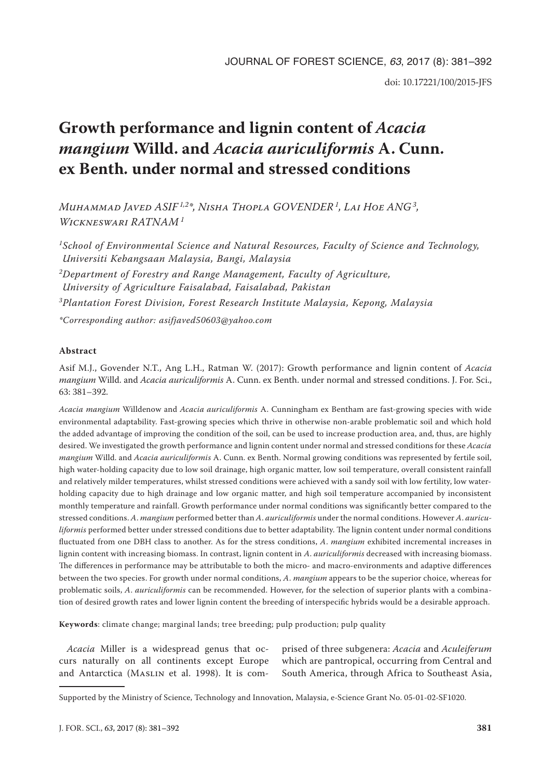# doi: 10.17221/100/2015-JFS

# **Growth performance and lignin content of** *Acacia mangium* **Willd. and** *Acacia auriculiformis* **A. Cunn. ex Benth. under normal and stressed conditions**

*Muhammad Javed Asif 1,2\*, Nisha Thopla GOVENDER1, Lai Hoe ANG3, Wickneswari RATNAM<sup>1</sup>*

*1School of Environmental Science and Natural Resources, Faculty of Science and Technology, Universiti Kebangsaan Malaysia, Bangi, Malaysia 2Department of Forestry and Range Management, Faculty of Agriculture, University of Agriculture Faisalabad, Faisalabad, Pakistan 3Plantation Forest Division, Forest Research Institute Malaysia, Kepong, Malaysia \*Corresponding author: asifjaved50603@yahoo.com*

# **Abstract**

Asif M.J., Govender N.T., Ang L.H., Ratman W. (2017): Growth performance and lignin content of *Acacia mangium* Willd. and *Acacia auriculiformis* A. Cunn. ex Benth. under normal and stressed conditions. J. For. Sci., 63: 381–392.

*Acacia mangium* Willdenow and *Acacia auriculiformis* A. Cunningham ex Bentham are fast-growing species with wide environmental adaptability. Fast-growing species which thrive in otherwise non-arable problematic soil and which hold the added advantage of improving the condition of the soil, can be used to increase production area, and, thus, are highly desired. We investigated the growth performance and lignin content under normal and stressed conditions for these *Acacia mangium* Willd. and *Acacia auriculiformis* A. Cunn. ex Benth. Normal growing conditions was represented by fertile soil, high water-holding capacity due to low soil drainage, high organic matter, low soil temperature, overall consistent rainfall and relatively milder temperatures, whilst stressed conditions were achieved with a sandy soil with low fertility, low waterholding capacity due to high drainage and low organic matter, and high soil temperature accompanied by inconsistent monthly temperature and rainfall. Growth performance under normal conditions was significantly better compared to the stressed conditions. *A*. *mangium* performed better than *A*. *auriculiformis* under the normal conditions. However *A*. *auriculiformis* performed better under stressed conditions due to better adaptability. The lignin content under normal conditions fluctuated from one DBH class to another. As for the stress conditions, *A*. *mangium* exhibited incremental increases in lignin content with increasing biomass. In contrast, lignin content in *A*. *auriculiformis* decreased with increasing biomass. The differences in performance may be attributable to both the micro- and macro-environments and adaptive differences between the two species. For growth under normal conditions, *A*. *mangium* appears to be the superior choice, whereas for problematic soils, *A*. *auriculiformis* can be recommended. However, for the selection of superior plants with a combination of desired growth rates and lower lignin content the breeding of interspecific hybrids would be a desirable approach.

**Keywords**: climate change; marginal lands; tree breeding; pulp production; pulp quality

*Acacia* Miller is a widespread genus that occurs naturally on all continents except Europe and Antarctica (Maslin et al. 1998). It is com-

prised of three subgenera: *Acacia* and *Aculeiferum* which are pantropical, occurring from Central and South America, through Africa to Southeast Asia,

Supported by the Ministry of Science, Technology and Innovation, Malaysia, e-Science Grant No. 05-01-02-SF1020.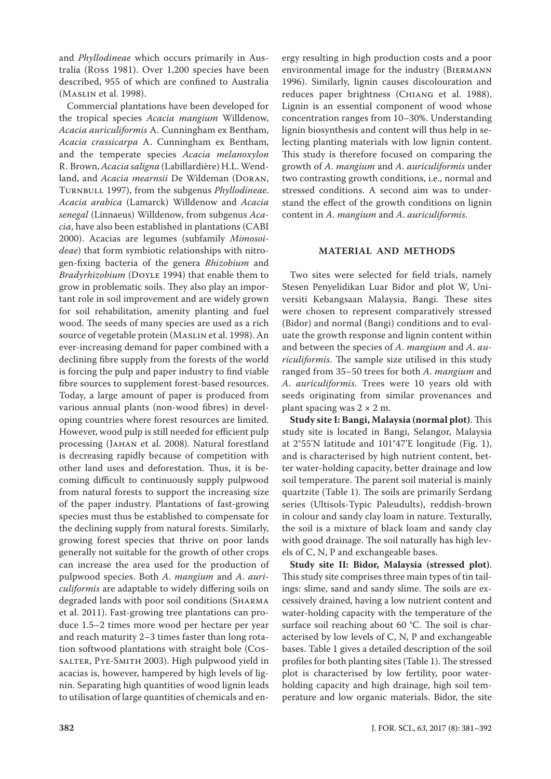and *Phyllodineae* which occurs primarily in Australia (Ross 1981). Over 1,200 species have been described, 955 of which are confined to Australia (Maslin et al. 1998).

Commercial plantations have been developed for the tropical species *Acacia mangium* Willdenow, *Acacia auriculiformis* A. Cunningham ex Bentham, *Acacia crassicarpa* A. Cunningham ex Bentham, and the temperate species *Acacia melanoxylon* R. Brown, *Acacia saligna* (Labillardière) H.L. Wendland, and *Acacia mearnsii* De Wildeman (Doran, Turnbull 1997), from the subgenus *Phyllodineae*. *Acacia arabica* (Lamarck) Willdenow and *Acacia senegal* (Linnaeus) Willdenow, from subgenus *Acacia*, have also been established in plantations (CABI 2000). Acacias are legumes (subfamily *Mimosoideae*) that form symbiotic relationships with nitrogen-fixing bacteria of the genera *Rhizobium* and *Bradyrhizobium* (DOYLE 1994) that enable them to grow in problematic soils. They also play an important role in soil improvement and are widely grown for soil rehabilitation, amenity planting and fuel wood. The seeds of many species are used as a rich source of vegetable protein (Maslin et al. 1998). An ever-increasing demand for paper combined with a declining fibre supply from the forests of the world is forcing the pulp and paper industry to find viable fibre sources to supplement forest-based resources. Today, a large amount of paper is produced from various annual plants (non-wood fibres) in developing countries where forest resources are limited. However, wood pulp is still needed for efficient pulp processing (Jahan et al. 2008). Natural forestland is decreasing rapidly because of competition with other land uses and deforestation. Thus, it is becoming difficult to continuously supply pulpwood from natural forests to support the increasing size of the paper industry. Plantations of fast-growing species must thus be established to compensate for the declining supply from natural forests. Similarly, growing forest species that thrive on poor lands generally not suitable for the growth of other crops can increase the area used for the production of pulpwood species. Both *A*. *mangium* and *A*. *auriculiformis* are adaptable to widely differing soils on degraded lands with poor soil conditions (Sharma et al. 2011). Fast-growing tree plantations can produce 1.5–2 times more wood per hectare per year and reach maturity 2–3 times faster than long rotation softwood plantations with straight bole (Cossalter, Pye-Smith 2003). High pulpwood yield in acacias is, however, hampered by high levels of lignin. Separating high quantities of wood lignin leads to utilisation of large quantities of chemicals and en-

ergy resulting in high production costs and a poor environmental image for the industry (Biermann 1996). Similarly, lignin causes discolouration and reduces paper brightness (CHIANG et al. 1988). Lignin is an essential component of wood whose concentration ranges from 10–30%. Understanding lignin biosynthesis and content will thus help in selecting planting materials with low lignin content. This study is therefore focused on comparing the growth of *A*. *mangium* and *A*. *auriculiformis* under two contrasting growth conditions, i.e., normal and stressed conditions. A second aim was to understand the effect of the growth conditions on lignin content in *A*. *mangium* and *A*. *auriculiformis*.

# **MATERIAL AND METHODS**

Two sites were selected for field trials, namely Stesen Penyelidikan Luar Bidor and plot W, Universiti Kebangsaan Malaysia, Bangi. These sites were chosen to represent comparatively stressed (Bidor) and normal (Bangi) conditions and to evaluate the growth response and lignin content within and between the species of *A*. *mangium* and *A*. *auriculiformis*. The sample size utilised in this study ranged from 35–50 trees for both *A*. *mangium* and *A*. *auriculiformis*. Trees were 10 years old with seeds originating from similar provenances and plant spacing was  $2 \times 2$  m.

**Study site I: Bangi, Malaysia (normal plot)**. This study site is located in Bangi, Selangor, Malaysia at 2°55'N latitude and 101°47'E longitude (Fig. 1), and is characterised by high nutrient content, better water-holding capacity, better drainage and low soil temperature. The parent soil material is mainly quartzite (Table 1). The soils are primarily Serdang series (Ultisols-Typic Paleudults), reddish-brown in colour and sandy clay loam in nature. Texturally, the soil is a mixture of black loam and sandy clay with good drainage. The soil naturally has high levels of C, N, P and exchangeable bases.

**Study site II: Bidor, Malaysia (stressed plot)**. This study site comprises three main types of tin tailings: slime, sand and sandy slime. The soils are excessively drained, having a low nutrient content and water-holding capacity with the temperature of the surface soil reaching about 60 °C. The soil is characterised by low levels of C, N, P and exchangeable bases. Table 1 gives a detailed description of the soil profiles for both planting sites (Table 1). The stressed plot is characterised by low fertility, poor waterholding capacity and high drainage, high soil temperature and low organic materials. Bidor, the site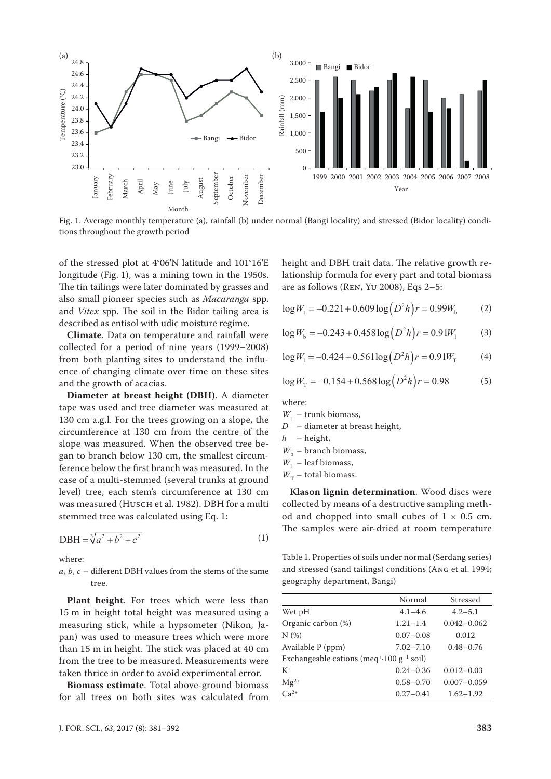

Fig. 1. Average monthly temperature (a), rainfall (b) under normal (Bangi locality) and stressed (Bidor locality) conditions throughout the growth period

of the stressed plot at 4°06'N latitude and 101°16'E longitude (Fig. 1), was a mining town in the 1950s. The tin tailings were later dominated by grasses and also small pioneer species such as *Macaranga* spp. and *Vitex* spp. The soil in the Bidor tailing area is described as entisol with udic moisture regime.

**Climate**. Data on temperature and rainfall were collected for a period of nine years (1999–2008) from both planting sites to understand the influence of changing climate over time on these sites and the growth of acacias.

**Diameter at breast height (DBH)**. A diameter tape was used and tree diameter was measured at 130 cm a.g.l. For the trees growing on a slope, the circumference at 130 cm from the centre of the slope was measured. When the observed tree began to branch below 130 cm, the smallest circumference below the first branch was measured. In the case of a multi-stemmed (several trunks at ground level) tree, each stem's circumference at 130 cm was measured (HUSCH et al. 1982). DBH for a multi stemmed tree was calculated using Eq. 1:

DBH = 
$$
\sqrt[3]{a^2 + b^2 + c^2}
$$
 (1)

where:

*a*, *b*, *c* – different DBH values from the stems of the same tree.

**Plant height**. For trees which were less than 15 m in height total height was measured using a measuring stick, while a hypsometer (Nikon, Japan) was used to measure trees which were more than 15 m in height. The stick was placed at 40 cm from the tree to be measured. Measurements were taken thrice in order to avoid experimental error.

**Biomass estimate**. Total above-ground biomass for all trees on both sites was calculated from height and DBH trait data. The relative growth relationship formula for every part and total biomass are as follows (Ren, Yu 2008), Eqs 2–5:

$$
\log W_{\rm t} = -0.221 + 0.609 \log (D^2 h) r = 0.99 W_{\rm b} \tag{2}
$$

$$
\log W_{\rm b} = -0.243 + 0.458 \log (D^2 h) r = 0.91 W_{\rm l} \tag{3}
$$

$$
\log W_1 = -0.424 + 0.561 \log (D^2 h) r = 0.91 W_\text{T} \tag{4}
$$

$$
\log W_{\rm T} = -0.154 + 0.568 \log (D^2 h) r = 0.98 \tag{5}
$$

where:

- $W_t$  trunk biomass,
- *D* diameter at breast height,

$$
h
$$
 - height,

- $W_{b}$  branch biomass,
- *W*<sup>l</sup> leaf biomass,
- $W_T$  total biomass.

**Klason lignin determination**. Wood discs were collected by means of a destructive sampling method and chopped into small cubes of  $1 \times 0.5$  cm. The samples were air-dried at room temperature

Table 1. Properties of soils under normal (Serdang series) and stressed (sand tailings) conditions (Ang et al. 1994; geography department, Bangi)

|                                                            | Normal        | Stressed        |  |  |
|------------------------------------------------------------|---------------|-----------------|--|--|
| Wet pH                                                     | $4.1 - 4.6$   | $4.2 - 5.1$     |  |  |
| Organic carbon (%)                                         | $1.21 - 1.4$  | $0.042 - 0.062$ |  |  |
| N(%)                                                       | $0.07 - 0.08$ | 0.012           |  |  |
| Available P (ppm)                                          | $7.02 - 7.10$ | $0.48 - 0.76$   |  |  |
| Exchangeable cations (meq <sup>+</sup> -100 $g^{-1}$ soil) |               |                 |  |  |
| $K^+$                                                      | $0.24 - 0.36$ | $0.012 - 0.03$  |  |  |
| $Mg^{2+}$                                                  | $0.58 - 0.70$ | $0.007 - 0.059$ |  |  |
| $Ca^{2+}$                                                  | $0.27 - 0.41$ | $1.62 - 1.92$   |  |  |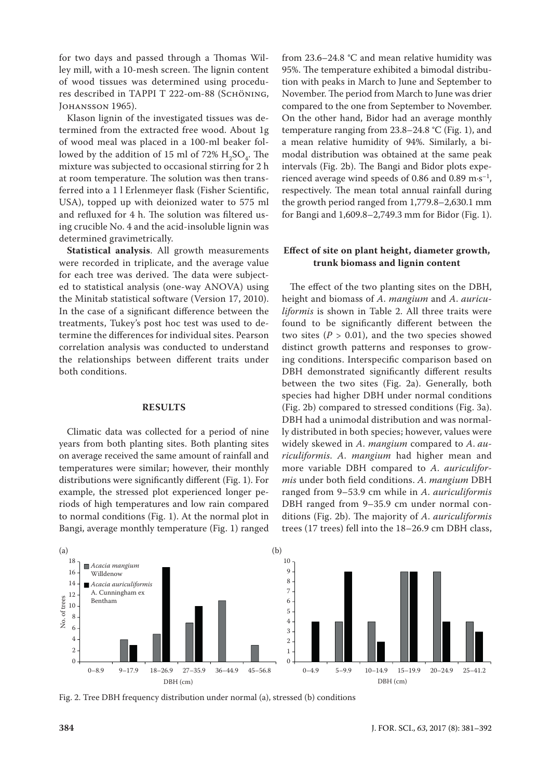for two days and passed through a Thomas Willey mill, with a 10-mesh screen. The lignin content of wood tissues was determined using procedures described in TAPPI T 222-om-88 (Schöning, JOHANSSON 1965).

Klason lignin of the investigated tissues was determined from the extracted free wood. About 1g of wood meal was placed in a 100-ml beaker followed by the addition of 15 ml of 72%  $\rm H_2SO_4$ . The mixture was subjected to occasional stirring for 2 h at room temperature. The solution was then transferred into a 1 l Erlenmeyer flask (Fisher Scientific, USA), topped up with deionized water to 575 ml and refluxed for 4 h. The solution was filtered using crucible No. 4 and the acid-insoluble lignin was determined gravimetrically.

**Statistical analysis**. All growth measurements were recorded in triplicate, and the average value for each tree was derived. The data were subjected to statistical analysis (one-way ANOVA) using the Minitab statistical software (Version 17, 2010). In the case of a significant difference between the treatments, Tukey's post hoc test was used to determine the differences for individual sites. Pearson correlation analysis was conducted to understand the relationships between different traits under both conditions.

#### **RESULTS**

Climatic data was collected for a period of nine years from both planting sites. Both planting sites on average received the same amount of rainfall and temperatures were similar; however, their monthly distributions were significantly different (Fig. 1). For example, the stressed plot experienced longer periods of high temperatures and low rain compared to normal conditions (Fig. 1). At the normal plot in Bangi, average monthly temperature (Fig. 1) ranged

from 23.6–24.8 °C and mean relative humidity was 95%. The temperature exhibited a bimodal distribution with peaks in March to June and September to November. The period from March to June was drier compared to the one from September to November. On the other hand, Bidor had an average monthly temperature ranging from 23.8–24.8 °C (Fig. 1), and a mean relative humidity of 94%. Similarly, a bimodal distribution was obtained at the same peak intervals (Fig. 2b). The Bangi and Bidor plots experienced average wind speeds of 0.86 and 0.89 m $\cdot$ s<sup>-1</sup>, respectively. The mean total annual rainfall during the growth period ranged from 1,779.8–2,630.1 mm for Bangi and 1,609.8–2,749.3 mm for Bidor (Fig. 1).

# **Effect of site on plant height, diameter growth, trunk biomass and lignin content**

The effect of the two planting sites on the DBH, height and biomass of *A*. *mangium* and *A*. *auriculiformis* is shown in Table 2. All three traits were found to be significantly different between the two sites  $(P > 0.01)$ , and the two species showed distinct growth patterns and responses to growing conditions. Interspecific comparison based on DBH demonstrated significantly different results between the two sites (Fig. 2a). Generally, both species had higher DBH under normal conditions (Fig. 2b) compared to stressed conditions (Fig. 3a). DBH had a unimodal distribution and was normally distributed in both species; however, values were widely skewed in *A*. *mangium* compared to *A*. *auriculiformis*. *A*. *mangium* had higher mean and more variable DBH compared to *A*. *auriculiformis* under both field conditions. *A*. *mangium* DBH ranged from 9–53.9 cm while in *A*. *auriculiformis* DBH ranged from 9–35.9 cm under normal conditions (Fig. 2b). The majority of *A*. *auriculiformis* trees (17 trees) fell into the 18–26.9 cm DBH class,



Fig. 2. Tree DBH frequency distribution under normal (a), stressed (b) conditions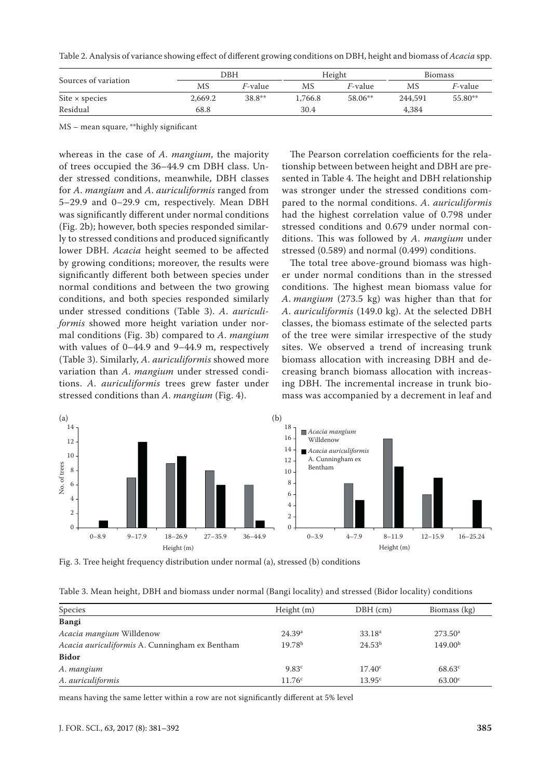Table 2. Analysis of variance showing effect of different growing conditions on DBH, height and biomass of *Acacia* spp.

|                       | dbh     |                 | Height  |                 | <b>Biomass</b> |                 |
|-----------------------|---------|-----------------|---------|-----------------|----------------|-----------------|
| Sources of variation  | MS      | <i>F</i> -value | MS      | <i>F</i> -value | MS             | <i>F</i> -value |
| Site $\times$ species | 2.669.2 | $38.8**$        | 1,766.8 | 58.06**         | 244,591        | $55.80**$       |
| Residual              | 68.8    |                 | 30.4    |                 | 4.384          |                 |

MS – mean square, \*\*highly significant

whereas in the case of *A*. *mangium*, the majority of trees occupied the 36–44.9 cm DBH class. Under stressed conditions, meanwhile, DBH classes for *A*. *mangium* and *A*. *auriculiformis* ranged from 5–29.9 and 0–29.9 cm, respectively. Mean DBH was significantly different under normal conditions (Fig. 2b); however, both species responded similarly to stressed conditions and produced significantly lower DBH. *Acacia* height seemed to be affected by growing conditions; moreover, the results were significantly different both between species under normal conditions and between the two growing conditions, and both species responded similarly under stressed conditions (Table 3). *A*. *auriculiformis* showed more height variation under normal conditions (Fig. 3b) compared to *A*. *mangium*  with values of 0–44.9 and 9–44.9 m, respectively (Table 3). Similarly, *A*. *auriculiformis* showed more variation than *A*. *mangium* under stressed conditions. *A*. *auriculiformis* trees grew faster under stressed conditions than *A*. *mangium* (Fig. 4).

The Pearson correlation coefficients for the relationship between between height and DBH are presented in Table 4. The height and DBH relationship was stronger under the stressed conditions compared to the normal conditions. *A*. *auriculiformis* had the highest correlation value of 0.798 under stressed conditions and 0.679 under normal conditions. This was followed by *A*. *mangium* under stressed (0.589) and normal (0.499) conditions.

The total tree above-ground biomass was higher under normal conditions than in the stressed conditions. The highest mean biomass value for *A*. *mangium* (273.5 kg) was higher than that for *A*. *auriculiformis* (149.0 kg). At the selected DBH classes, the biomass estimate of the selected parts of the tree were similar irrespective of the study sites. We observed a trend of increasing trunk biomass allocation with increasing DBH and decreasing branch biomass allocation with increasing DBH. The incremental increase in trunk biomass was accompanied by a decrement in leaf and



Fig. 3. Tree height frequency distribution under normal (a), stressed (b) conditions

Table 3. Mean height, DBH and biomass under normal (Bangi locality) and stressed (Bidor locality) conditions

| Species                                        | Height (m)         | $DBH$ (cm)         | Biomass (kg)        |
|------------------------------------------------|--------------------|--------------------|---------------------|
| Bangi                                          |                    |                    |                     |
| Acacia mangium Willdenow                       | 24.39 <sup>a</sup> | 33.18 <sup>a</sup> | $273.50^{\circ}$    |
| Acacia auriculiformis A. Cunningham ex Bentham | 19.78 <sup>b</sup> | $24.53^{b}$        | 149.00 <sup>b</sup> |
| <b>Bidor</b>                                   |                    |                    |                     |
| A. mangium                                     | 9.83 <sup>c</sup>  | 17.40 <sup>c</sup> | 68.63 <sup>c</sup>  |
| A. auriculiformis                              | 11.76 <sup>c</sup> | 13.95c             | 63.00 <sup>c</sup>  |

means having the same letter within a row are not significantly different at 5% level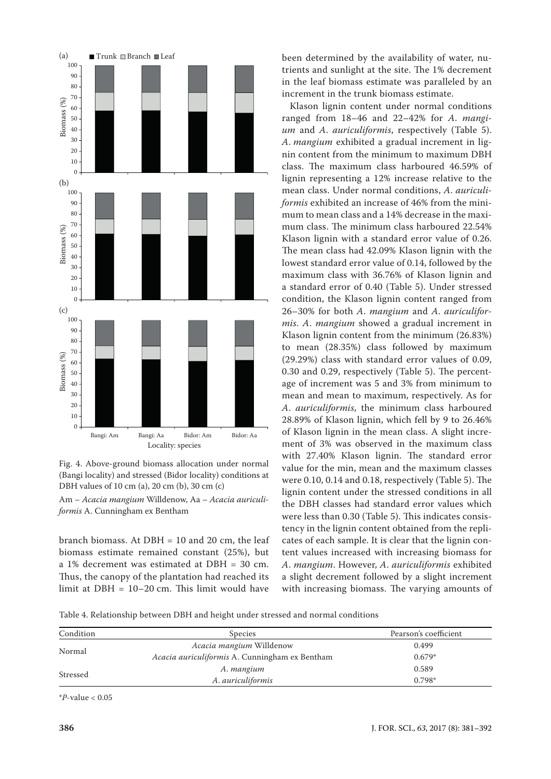

Fig. 4. Above-ground biomass allocation under normal (Bangi locality) and stressed (Bidor locality) conditions at DBH values of 10 cm (a), 20 cm (b), 30 cm (c)

Am – *Acacia mangium* Willdenow, Aa – *Acacia auriculiformis* A. Cunningham ex Bentham

branch biomass. At DBH = 10 and 20 cm, the leaf biomass estimate remained constant (25%), but a 1% decrement was estimated at DBH = 30 cm. Thus, the canopy of the plantation had reached its limit at DBH = 10–20 cm. This limit would have been determined by the availability of water, nutrients and sunlight at the site. The 1% decrement in the leaf biomass estimate was paralleled by an increment in the trunk biomass estimate.

Klason lignin content under normal conditions ranged from 18–46 and 22–42% for *A*. *mangium* and *A*. *auriculiformis*, respectively (Table 5). *A*. *mangium* exhibited a gradual increment in lignin content from the minimum to maximum DBH class. The maximum class harboured 46.59% of lignin representing a 12% increase relative to the mean class. Under normal conditions, *A*. *auriculiformis* exhibited an increase of 46% from the minimum to mean class and a 14% decrease in the maximum class. The minimum class harboured 22.54% Klason lignin with a standard error value of 0.26. The mean class had 42.09% Klason lignin with the lowest standard error value of 0.14, followed by the maximum class with 36.76% of Klason lignin and a standard error of 0.40 (Table 5). Under stressed condition, the Klason lignin content ranged from 26–30% for both *A*. *mangium* and *A*. *auriculiformis*. *A*. *mangium* showed a gradual increment in Klason lignin content from the minimum (26.83%) to mean (28.35%) class followed by maximum (29.29%) class with standard error values of 0.09, 0.30 and 0.29, respectively (Table 5). The percentage of increment was 5 and 3% from minimum to mean and mean to maximum, respectively. As for *A*. *auriculiformis*, the minimum class harboured 28.89% of Klason lignin, which fell by 9 to 26.46% of Klason lignin in the mean class. A slight increment of 3% was observed in the maximum class with 27.40% Klason lignin. The standard error value for the min, mean and the maximum classes were 0.10, 0.14 and 0.18, respectively (Table 5). The lignin content under the stressed conditions in all the DBH classes had standard error values which were less than 0.30 (Table 5). This indicates consistency in the lignin content obtained from the replicates of each sample. It is clear that the lignin content values increased with increasing biomass for *A*. *mangium*. However, *A*. *auriculiformis* exhibited a slight decrement followed by a slight increment with increasing biomass. The varying amounts of

Table 4. Relationship between DBH and height under stressed and normal conditions

| Condition | <b>Species</b>                                 | Pearson's coefficient |
|-----------|------------------------------------------------|-----------------------|
| Normal    | Acacia mangium Willdenow                       | 0.499                 |
|           | Acacia auriculiformis A. Cunningham ex Bentham | $0.679*$              |
| Stressed  | A. mangium                                     | 0.589                 |
|           | A. auriculiformis                              | $0.798*$              |

\**P*-value < 0.05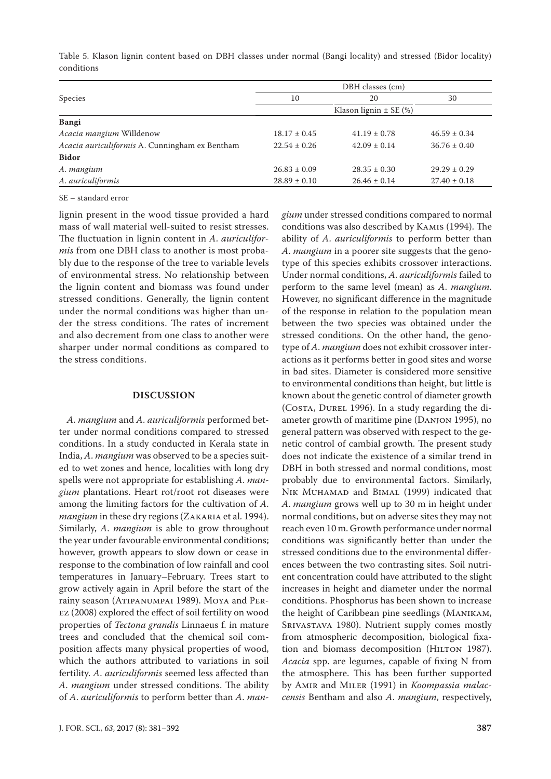| DBH classes (cm) |                            |                  |  |
|------------------|----------------------------|------------------|--|
| 10               | 20                         | 30               |  |
|                  | Klason lignin $\pm$ SE (%) |                  |  |
|                  |                            |                  |  |
| $18.17 \pm 0.45$ | $41.19 \pm 0.78$           | $46.59 \pm 0.34$ |  |
| $22.54 \pm 0.26$ | $42.09 \pm 0.14$           | $36.76 \pm 0.40$ |  |
|                  |                            |                  |  |
| $26.83 \pm 0.09$ | $28.35 \pm 0.30$           | $29.29 \pm 0.29$ |  |
| $28.89 \pm 0.10$ | $26.46 \pm 0.14$           | $27.40 \pm 0.18$ |  |
|                  |                            |                  |  |

Table 5. Klason lignin content based on DBH classes under normal (Bangi locality) and stressed (Bidor locality) conditions

SE – standard error

lignin present in the wood tissue provided a hard mass of wall material well-suited to resist stresses. The fluctuation in lignin content in *A*. *auriculiformis* from one DBH class to another is most probably due to the response of the tree to variable levels of environmental stress. No relationship between the lignin content and biomass was found under stressed conditions. Generally, the lignin content under the normal conditions was higher than under the stress conditions. The rates of increment and also decrement from one class to another were sharper under normal conditions as compared to the stress conditions.

#### **DISCUSSION**

*A*. *mangium* and *A*. *auriculiformis* performed better under normal conditions compared to stressed conditions. In a study conducted in Kerala state in India, *A*. *mangium* was observed to be a species suited to wet zones and hence, localities with long dry spells were not appropriate for establishing *A*. *mangium* plantations. Heart rot/root rot diseases were among the limiting factors for the cultivation of *A*. *mangium* in these dry regions (Zakaria et al. 1994). Similarly, *A*. *mangium* is able to grow throughout the year under favourable environmental conditions; however, growth appears to slow down or cease in response to the combination of low rainfall and cool temperatures in January–February. Trees start to grow actively again in April before the start of the rainy season (Atipanumpai 1989). Moya and Perez (2008) explored the effect of soil fertility on wood properties of *Tectona grandis* Linnaeus f. in mature trees and concluded that the chemical soil composition affects many physical properties of wood, which the authors attributed to variations in soil fertility. *A*. *auriculiformis* seemed less affected than *A*. *mangium* under stressed conditions. The ability of *A*. *auriculiformis* to perform better than *A*. *man-*

J. FOR. SCI., *63*, 2017 (8): 381–392 **387**

*gium* under stressed conditions compared to normal conditions was also described by Kamis (1994). The ability of *A*. *auriculiformis* to perform better than *A*. *mangium* in a poorer site suggests that the genotype of this species exhibits crossover interactions. Under normal conditions, *A*. *auriculiformis* failed to perform to the same level (mean) as *A*. *mangium*. However, no significant difference in the magnitude of the response in relation to the population mean between the two species was obtained under the stressed conditions. On the other hand, the genotype of *A*. *mangium* does not exhibit crossover interactions as it performs better in good sites and worse in bad sites. Diameter is considered more sensitive to environmental conditions than height, but little is known about the genetic control of diameter growth (COSTA, DUREL 1996). In a study regarding the diameter growth of maritime pine (Danjon 1995), no general pattern was observed with respect to the genetic control of cambial growth. The present study does not indicate the existence of a similar trend in DBH in both stressed and normal conditions, most probably due to environmental factors. Similarly, Nik Muhamad and Bimal (1999) indicated that *A*. *mangium* grows well up to 30 m in height under normal conditions, but on adverse sites they may not reach even 10 m. Growth performance under normal conditions was significantly better than under the stressed conditions due to the environmental differences between the two contrasting sites. Soil nutrient concentration could have attributed to the slight increases in height and diameter under the normal conditions. Phosphorus has been shown to increase the height of Caribbean pine seedlings (Manikam, Srivastava 1980). Nutrient supply comes mostly from atmospheric decomposition, biological fixation and biomass decomposition (HILTON 1987). *Acacia* spp. are legumes, capable of fixing N from the atmosphere. This has been further supported by Amir and Miler (1991) in *Koompassia malaccensis* Bentham and also *A*. *mangium*, respectively,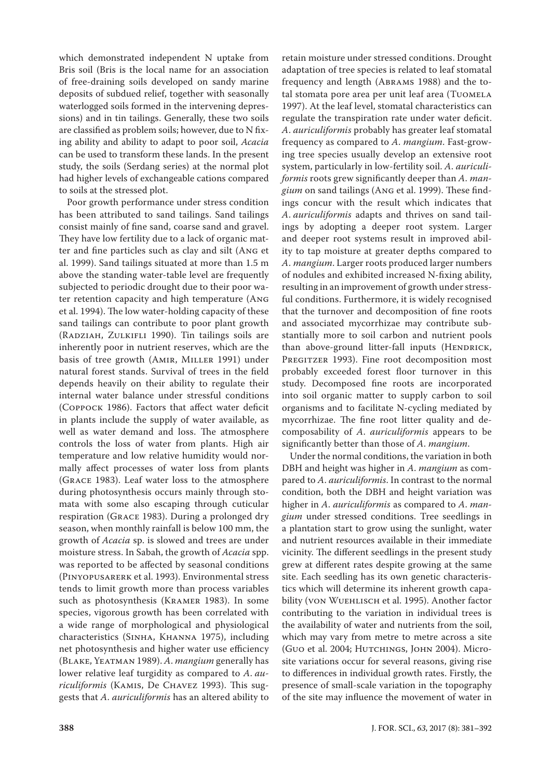which demonstrated independent N uptake from Bris soil (Bris is the local name for an association of free-draining soils developed on sandy marine deposits of subdued relief, together with seasonally waterlogged soils formed in the intervening depressions) and in tin tailings. Generally, these two soils are classified as problem soils; however, due to N fixing ability and ability to adapt to poor soil, *Acacia* can be used to transform these lands. In the present study, the soils (Serdang series) at the normal plot had higher levels of exchangeable cations compared to soils at the stressed plot.

Poor growth performance under stress condition has been attributed to sand tailings. Sand tailings consist mainly of fine sand, coarse sand and gravel. They have low fertility due to a lack of organic matter and fine particles such as clay and silt (Ang et al. 1999). Sand tailings situated at more than 1.5 m above the standing water-table level are frequently subjected to periodic drought due to their poor water retention capacity and high temperature (Ang et al. 1994). The low water-holding capacity of these sand tailings can contribute to poor plant growth (Radziah, Zulkifli 1990). Tin tailings soils are inherently poor in nutrient reserves, which are the basis of tree growth (AMIR, MILLER 1991) under natural forest stands. Survival of trees in the field depends heavily on their ability to regulate their internal water balance under stressful conditions (Coppock 1986). Factors that affect water deficit in plants include the supply of water available, as well as water demand and loss. The atmosphere controls the loss of water from plants. High air temperature and low relative humidity would normally affect processes of water loss from plants (Grace 1983). Leaf water loss to the atmosphere during photosynthesis occurs mainly through stomata with some also escaping through cuticular respiration (Grace 1983). During a prolonged dry season, when monthly rainfall is below 100 mm, the growth of *Acacia* sp. is slowed and trees are under moisture stress. In Sabah, the growth of *Acacia* spp. was reported to be affected by seasonal conditions (Pinyopusarerk et al. 1993). Environmental stress tends to limit growth more than process variables such as photosynthesis (Kramer 1983). In some species, vigorous growth has been correlated with a wide range of morphological and physiological characteristics (Sinha, Khanna 1975), including net photosynthesis and higher water use efficiency (Blake, Yeatman 1989). *A*. *mangium* generally has lower relative leaf turgidity as compared to *A*. *auriculiformis* (Kamis, De Chavez 1993). This suggests that *A*. *auriculiformis* has an altered ability to

retain moisture under stressed conditions. Drought adaptation of tree species is related to leaf stomatal frequency and length (Abrams 1988) and the total stomata pore area per unit leaf area (TUOMELA 1997). At the leaf level, stomatal characteristics can regulate the transpiration rate under water deficit. *A*. *auriculiformis* probably has greater leaf stomatal frequency as compared to *A*. *mangium*. Fast-growing tree species usually develop an extensive root system, particularly in low-fertility soil. *A*. *auriculiformis* roots grew significantly deeper than *A*. *mangium* on sand tailings (Ang et al. 1999). These findings concur with the result which indicates that *A*. *auriculiformis* adapts and thrives on sand tailings by adopting a deeper root system. Larger and deeper root systems result in improved ability to tap moisture at greater depths compared to *A*. *mangium*. Larger roots produced larger numbers of nodules and exhibited increased N-fixing ability, resulting in an improvement of growth under stressful conditions. Furthermore, it is widely recognised that the turnover and decomposition of fine roots and associated mycorrhizae may contribute substantially more to soil carbon and nutrient pools than above-ground litter-fall inputs (HENDRICK, PREGITZER 1993). Fine root decomposition most probably exceeded forest floor turnover in this study. Decomposed fine roots are incorporated into soil organic matter to supply carbon to soil organisms and to facilitate N-cycling mediated by mycorrhizae. The fine root litter quality and decomposability of *A*. *auriculiformis* appears to be significantly better than those of *A*. *mangium*.

Under the normal conditions, the variation in both DBH and height was higher in *A*. *mangium* as compared to *A*. *auriculiformis*. In contrast to the normal condition, both the DBH and height variation was higher in *A*. *auriculiformis* as compared to *A*. *mangium* under stressed conditions. Tree seedlings in a plantation start to grow using the sunlight, water and nutrient resources available in their immediate vicinity. The different seedlings in the present study grew at different rates despite growing at the same site. Each seedling has its own genetic characteristics which will determine its inherent growth capability (VON WUEHLISCH et al. 1995). Another factor contributing to the variation in individual trees is the availability of water and nutrients from the soil, which may vary from metre to metre across a site (Guo et al. 2004; HUTCHINGS, JOHN 2004). Microsite variations occur for several reasons, giving rise to differences in individual growth rates. Firstly, the presence of small-scale variation in the topography of the site may influence the movement of water in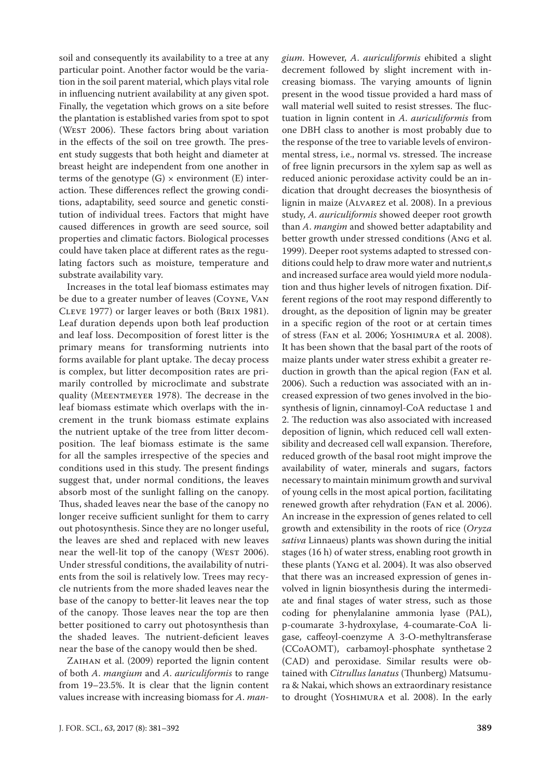soil and consequently its availability to a tree at any particular point. Another factor would be the variation in the soil parent material, which plays vital role in influencing nutrient availability at any given spot. Finally, the vegetation which grows on a site before the plantation is established varies from spot to spot (WEST 2006). These factors bring about variation in the effects of the soil on tree growth. The present study suggests that both height and diameter at breast height are independent from one another in terms of the genotype  $(G)$  × environment  $(E)$  interaction. These differences reflect the growing conditions, adaptability, seed source and genetic constitution of individual trees. Factors that might have caused differences in growth are seed source, soil properties and climatic factors. Biological processes could have taken place at different rates as the regulating factors such as moisture, temperature and substrate availability vary.

Increases in the total leaf biomass estimates may be due to a greater number of leaves (Coyne, Van Cleve 1977) or larger leaves or both (Brix 1981). Leaf duration depends upon both leaf production and leaf loss. Decomposition of forest litter is the primary means for transforming nutrients into forms available for plant uptake. The decay process is complex, but litter decomposition rates are primarily controlled by microclimate and substrate quality (Meentmeyer 1978). The decrease in the leaf biomass estimate which overlaps with the increment in the trunk biomass estimate explains the nutrient uptake of the tree from litter decomposition. The leaf biomass estimate is the same for all the samples irrespective of the species and conditions used in this study. The present findings suggest that, under normal conditions, the leaves absorb most of the sunlight falling on the canopy. Thus, shaded leaves near the base of the canopy no longer receive sufficient sunlight for them to carry out photosynthesis. Since they are no longer useful, the leaves are shed and replaced with new leaves near the well-lit top of the canopy (WEST 2006). Under stressful conditions, the availability of nutrients from the soil is relatively low. Trees may recycle nutrients from the more shaded leaves near the base of the canopy to better-lit leaves near the top of the canopy. Those leaves near the top are then better positioned to carry out photosynthesis than the shaded leaves. The nutrient-deficient leaves near the base of the canopy would then be shed.

Zaihan et al. (2009) reported the lignin content of both *A*. *mangium* and *A*. *auriculiformis* to range from 19–23.5%. It is clear that the lignin content values increase with increasing biomass for *A*. *man-* *gium*. However, *A*. *auriculiformis* ehibited a slight decrement followed by slight increment with increasing biomass. The varying amounts of lignin present in the wood tissue provided a hard mass of wall material well suited to resist stresses. The fluctuation in lignin content in *A*. *auriculiformis* from one DBH class to another is most probably due to the response of the tree to variable levels of environmental stress, i.e., normal vs. stressed. The increase of free lignin precursors in the xylem sap as well as reduced anionic peroxidase activity could be an indication that drought decreases the biosynthesis of lignin in maize (Alvarez et al. 2008). In a previous study, *A*. *auriculiformis* showed deeper root growth than *A*. *mangim* and showed better adaptability and better growth under stressed conditions (Ang et al. 1999). Deeper root systems adapted to stressed conditions could help to draw more water and nutrient,s and increased surface area would yield more nodulation and thus higher levels of nitrogen fixation. Different regions of the root may respond differently to drought, as the deposition of lignin may be greater in a specific region of the root or at certain times of stress (Fan et al. 2006; Yoshimura et al. 2008). It has been shown that the basal part of the roots of maize plants under water stress exhibit a greater reduction in growth than the apical region (Fan et al. 2006). Such a reduction was associated with an increased expression of two genes involved in the biosynthesis of lignin, cinnamoyl-CoA reductase 1 and 2. The reduction was also associated with increased deposition of lignin, which reduced cell wall extensibility and decreased cell wall expansion. Therefore, reduced growth of the basal root might improve the availability of water, minerals and sugars, factors necessary to maintain minimum growth and survival of young cells in the most apical portion, facilitating renewed growth after rehydration (Fan et al. 2006). An increase in the expression of genes related to cell growth and extensibility in the roots of rice (*Oryza sativa* Linnaeus) plants was shown during the initial stages (16 h) of water stress, enabling root growth in these plants (Yang et al. 2004). It was also observed that there was an increased expression of genes involved in lignin biosynthesis during the intermediate and final stages of water stress, such as those coding for phenylalanine ammonia lyase (PAL), p-coumarate 3-hydroxylase, 4-coumarate-CoA ligase, caffeoyl-coenzyme A 3-O-methyltransferase (CCoAOMT), carbamoyl-phosphate synthetase 2 (CAD) and peroxidase. Similar results were obtained with *Citrullus lanatus* (Thunberg) Matsumura & Nakai, which shows an extraordinary resistance to drought (Yoshimura et al. 2008). In the early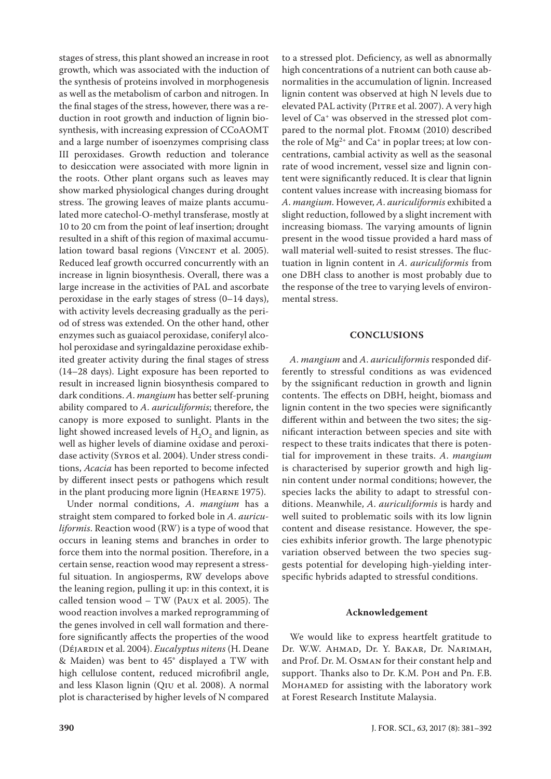stages of stress, this plant showed an increase in root growth, which was associated with the induction of the synthesis of proteins involved in morphogenesis as well as the metabolism of carbon and nitrogen. In the final stages of the stress, however, there was a reduction in root growth and induction of lignin biosynthesis, with increasing expression of CCoAOMT and a large number of isoenzymes comprising class III peroxidases. Growth reduction and tolerance to desiccation were associated with more lignin in the roots. Other plant organs such as leaves may show marked physiological changes during drought stress. The growing leaves of maize plants accumulated more catechol-O-methyl transferase, mostly at 10 to 20 cm from the point of leaf insertion; drought resulted in a shift of this region of maximal accumulation toward basal regions (VINCENT et al. 2005). Reduced leaf growth occurred concurrently with an increase in lignin biosynthesis. Overall, there was a large increase in the activities of PAL and ascorbate peroxidase in the early stages of stress (0–14 days), with activity levels decreasing gradually as the period of stress was extended. On the other hand, other enzymes such as guaiacol peroxidase, coniferyl alcohol peroxidase and syringaldazine peroxidase exhibited greater activity during the final stages of stress (14–28 days). Light exposure has been reported to result in increased lignin biosynthesis compared to dark conditions. *A*. *mangium* has better self-pruning ability compared to *A*. *auriculiformis*; therefore, the canopy is more exposed to sunlight. Plants in the light showed increased levels of  $\rm H_2O_2$  and lignin, as well as higher levels of diamine oxidase and peroxidase activity (Syros et al. 2004). Under stress conditions, *Acacia* has been reported to become infected by different insect pests or pathogens which result in the plant producing more lignin (Hearne 1975).

Under normal conditions, *A*. *mangium* has a straight stem compared to forked bole in *A*. *auriculiformis*. Reaction wood (RW) is a type of wood that occurs in leaning stems and branches in order to force them into the normal position. Therefore, in a certain sense, reaction wood may represent a stressful situation. In angiosperms, RW develops above the leaning region, pulling it up: in this context, it is called tension wood – TW (Paux et al. 2005). The wood reaction involves a marked reprogramming of the genes involved in cell wall formation and therefore significantly affects the properties of the wood (Déjardin et al. 2004). *Eucalyptus nitens* (H. Deane & Maiden) was bent to 45° displayed a TW with high cellulose content, reduced microfibril angle, and less Klason lignin (Qiu et al. 2008). A normal plot is characterised by higher levels of N compared

to a stressed plot. Deficiency, as well as abnormally high concentrations of a nutrient can both cause abnormalities in the accumulation of lignin. Increased lignin content was observed at high N levels due to elevated PAL activity (PITRE et al. 2007). A very high level of Ca+ was observed in the stressed plot compared to the normal plot. Fromm (2010) described the role of  $Mg^{2+}$  and  $Ca^+$  in poplar trees; at low concentrations, cambial activity as well as the seasonal rate of wood increment, vessel size and lignin content were significantly reduced. It is clear that lignin content values increase with increasing biomass for *A*. *mangium*. However, *A*. *auriculiformis* exhibited a slight reduction, followed by a slight increment with increasing biomass. The varying amounts of lignin present in the wood tissue provided a hard mass of wall material well-suited to resist stresses. The fluctuation in lignin content in *A*. *auriculiformis* from one DBH class to another is most probably due to the response of the tree to varying levels of environmental stress.

### **CONCLUSIONS**

*A*. *mangium* and *A*. *auriculiformis* responded differently to stressful conditions as was evidenced by the ssignificant reduction in growth and lignin contents. The effects on DBH, height, biomass and lignin content in the two species were significantly different within and between the two sites; the significant interaction between species and site with respect to these traits indicates that there is potential for improvement in these traits. *A*. *mangium* is characterised by superior growth and high lignin content under normal conditions; however, the species lacks the ability to adapt to stressful conditions. Meanwhile, *A*. *auriculiformis* is hardy and well suited to problematic soils with its low lignin content and disease resistance. However, the species exhibits inferior growth. The large phenotypic variation observed between the two species suggests potential for developing high-yielding interspecific hybrids adapted to stressful conditions.

#### **Acknowledgement**

We would like to express heartfelt gratitude to Dr. W.W. Ahmad, Dr. Y. Bakar, Dr. Narimah, and Prof. Dr. M. Osman for their constant help and support. Thanks also to Dr. K.M. POH and Pn. F.B. MOHAMED for assisting with the laboratory work at Forest Research Institute Malaysia.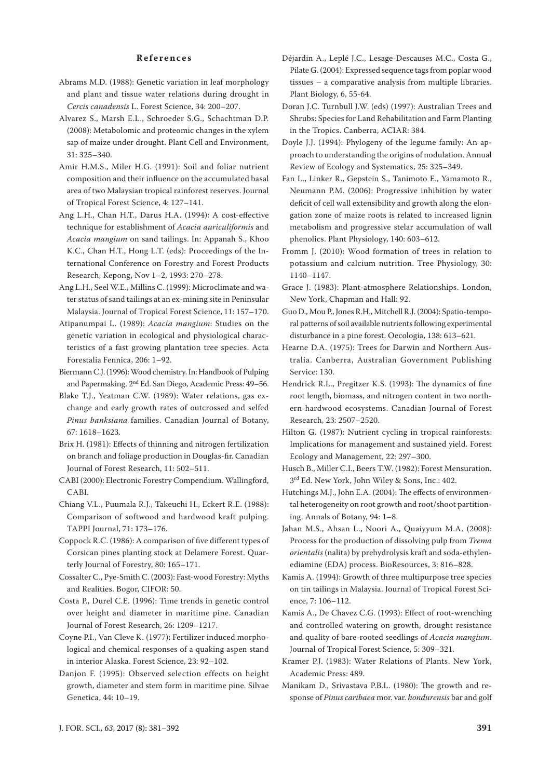### **References**

- Abrams M.D. (1988): Genetic variation in leaf morphology and plant and tissue water relations during drought in *Cercis canadensis* L. Forest Science, 34: 200–207.
- Alvarez S., Marsh E.L., Schroeder S.G., Schachtman D.P. (2008): Metabolomic and proteomic changes in the xylem sap of maize under drought. Plant Cell and Environment, 31: 325–340.
- Amir H.M.S., Miler H.G. (1991): Soil and foliar nutrient composition and their influence on the accumulated basal area of two Malaysian tropical rainforest reserves. Journal of Tropical Forest Science, 4: 127–141.
- Ang L.H., Chan H.T., Darus H.A. (1994): A cost-effective technique for establishment of *Acacia auriculiformis* and *Acacia mangium* on sand tailings. In: Appanah S., Khoo K.C., Chan H.T., Hong L.T. (eds): Proceedings of the International Conference on Forestry and Forest Products Research, Kepong, Nov 1–2, 1993: 270–278.
- Ang L.H., Seel W.E., Millins C. (1999): Microclimate and water status of sand tailings at an ex-mining site in Peninsular Malaysia. Journal of Tropical Forest Science, 11: 157–170.
- Atipanumpai L. (1989): *Acacia mangium*: Studies on the genetic variation in ecological and physiological characteristics of a fast growing plantation tree species. Acta Forestalia Fennica, 206: 1–92.
- Biermann C.J. (1996): Wood chemistry. In: Handbook of Pulping and Papermaking. 2nd Ed. San Diego, Academic Press: 49–56.
- Blake T.J., Yeatman C.W. (1989): Water relations, gas exchange and early growth rates of outcrossed and selfed *Pinus banksiana* families. Canadian Journal of Botany, 67: 1618–1623.
- Brix H. (1981): Effects of thinning and nitrogen fertilization on branch and foliage production in Douglas-fir. Canadian Journal of Forest Research, 11: 502–511.
- CABI (2000): Electronic Forestry Compendium. Wallingford, CABI.
- Chiang V.L., Puumala R.J., Takeuchi H., Eckert R.E. (1988): Comparison of softwood and hardwood kraft pulping. TAPPI Journal, 71: 173–176.
- Coppock R.C. (1986): A comparison of five different types of Corsican pines planting stock at Delamere Forest. Quarterly Journal of Forestry, 80: 165–171.
- Cossalter C., Pye-Smith C. (2003): Fast-wood Forestry: Myths and Realities. Bogor, CIFOR: 50.
- Costa P., Durel C.E. (1996): Time trends in genetic control over height and diameter in maritime pine. Canadian Journal of Forest Research, 26: 1209–1217.
- Coyne P.I., Van Cleve K. (1977): Fertilizer induced morphological and chemical responses of a quaking aspen stand in interior Alaska. Forest Science, 23: 92–102.
- Danjon F. (1995): Observed selection effects on height growth, diameter and stem form in maritime pine. Silvae Genetica, 44: 10–19.
- Déjardin A., Leplé J.C., Lesage-Descauses M.C., Costa G., Pilate G. (2004): Expressed sequence tags from poplar wood tissues – a comparative analysis from multiple libraries. Plant Biology, 6, 55-64.
- Doran J.C. Turnbull J.W. (eds) (1997): Australian Trees and Shrubs: Species for Land Rehabilitation and Farm Planting in the Tropics. Canberra, ACIAR: 384.
- Doyle J.J. (1994): Phylogeny of the legume family: An approach to understanding the origins of nodulation. Annual Review of Ecology and Systematics, 25: 325–349.
- Fan L., Linker R., Gepstein S., Tanimoto E., Yamamoto R., Neumann P.M. (2006): Progressive inhibition by water deficit of cell wall extensibility and growth along the elongation zone of maize roots is related to increased lignin metabolism and progressive stelar accumulation of wall phenolics. Plant Physiology, 140: 603–612.
- Fromm J. (2010): Wood formation of trees in relation to potassium and calcium nutrition. Tree Physiology, 30: 1140–1147.
- Grace J. (1983): Plant-atmosphere Relationships. London, New York, Chapman and Hall: 92.
- Guo D., Mou P., Jones R.H., Mitchell R.J. (2004): Spatio-temporal patterns of soil available nutrients following experimental disturbance in a pine forest. Oecologia, 138: 613–621.
- Hearne D.A. (1975): Trees for Darwin and Northern Australia. Canberra, Australian Government Publishing Service: 130.
- Hendrick R.L., Pregitzer K.S. (1993): The dynamics of fine root length, biomass, and nitrogen content in two northern hardwood ecosystems. Canadian Journal of Forest Research, 23: 2507–2520.
- Hilton G. (1987): Nutrient cycling in tropical rainforests: Implications for management and sustained yield. Forest Ecology and Management, 22: 297–300.
- Husch B., Miller C.I., Beers T.W. (1982): Forest Mensuration. 3rd Ed. New York, John Wiley & Sons, Inc.: 402.
- Hutchings M.J., John E.A. (2004): The effects of environmental heterogeneity on root growth and root/shoot partitioning. Annals of Botany, 94: 1–8.
- Jahan M.S., Ahsan L., Noori A., Quaiyyum M.A. (2008): Process for the production of dissolving pulp from *Trema orientalis* (nalita) by prehydrolysis kraft and soda-ethylenediamine (EDA) process. BioResources, 3: 816–828.
- Kamis A. (1994): Growth of three multipurpose tree species on tin tailings in Malaysia. Journal of Tropical Forest Science, 7: 106–112.
- Kamis A., De Chavez C.G. (1993): Effect of root-wrenching and controlled watering on growth, drought resistance and quality of bare-rooted seedlings of *Acacia mangium*. Journal of Tropical Forest Science, 5: 309–321.
- Kramer P.J. (1983): Water Relations of Plants. New York, Academic Press: 489.
- Manikam D., Srivastava P.B.L. (1980): The growth and response of *Pinus caribaea* mor. var. *hondurensis* bar and golf